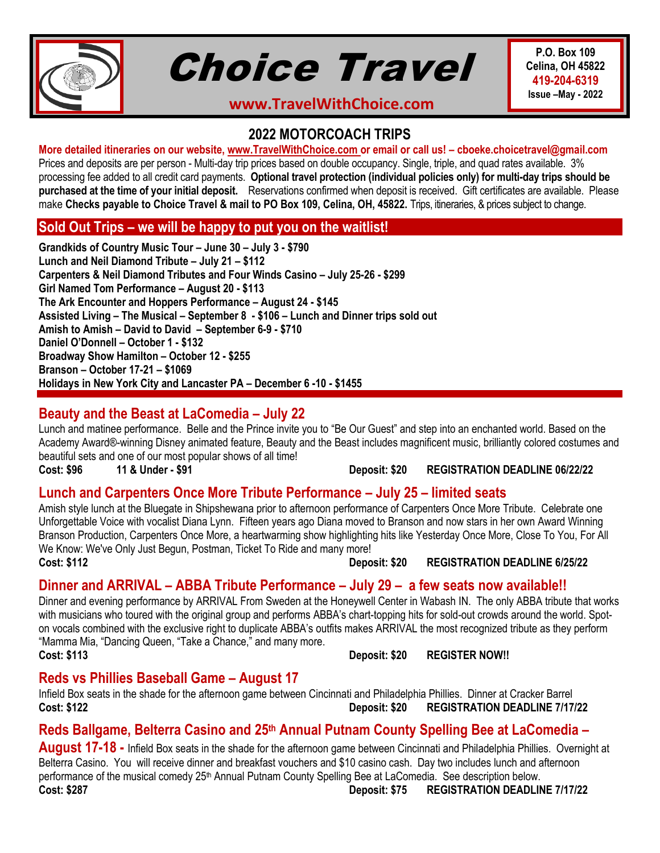

# Choice Travel

**P.O. Box 109 Celina, OH 45822 419-204-6319 Issue –May - 2022**

**www.TravelWithChoice.com**

## **2022 MOTORCOACH TRIPS**

#### **More detailed itineraries on our website, [www.TravelWithChoice.com](http://www.travelwithchoice.com/) or email or call us! – cboeke.choicetravel@gmail.com**

Prices and deposits are per person - Multi-day trip prices based on double occupancy. Single, triple, and quad rates available. 3% processing fee added to all credit card payments. **Optional travel protection (individual policies only) for multi-day trips should be purchased at the time of your initial deposit.** Reservations confirmed when deposit is received. Gift certificates are available. Please make **Checks payable to Choice Travel & mail to PO Box 109, Celina, OH, 45822.** Trips, itineraries, & prices subject to change.

#### **Sold Out Trips – we will be happy to put you on the waitlist!**

**Grandkids of Country Music Tour – June 30 – July 3 - \$790 Lunch and Neil Diamond Tribute – July 21 – \$112 Carpenters & Neil Diamond Tributes and Four Winds Casino – July 25-26 - \$299 Girl Named Tom Performance – August 20 - \$113 The Ark Encounter and Hoppers Performance – August 24 - \$145 Assisted Living – The Musical – September 8 - \$106 – Lunch and Dinner trips sold out Amish to Amish – David to David – September 6-9 - \$710 Daniel O'Donnell – October 1 - \$132 Broadway Show Hamilton – October 12 - \$255 Branson – October 17-21 – \$1069 Holidays in New York City and Lancaster PA – December 6 -10 - \$1455**

# **Beauty and the Beast at LaComedia – July 22**

Lunch and matinee performance. Belle and the Prince invite you to "Be Our Guest" and step into an enchanted world. Based on the Academy Award®-winning Disney animated feature, Beauty and the Beast includes magnificent music, brilliantly colored costumes and beautiful sets and one of our most popular shows of all time!

**Cost: \$96 11 & Under - \$91 Deposit: \$20 REGISTRATION DEADLINE 06/22/22**

#### **Lunch and Carpenters Once More Tribute Performance – July 25 – limited seats**

Amish style lunch at the Bluegate in Shipshewana prior to afternoon performance of Carpenters Once More Tribute. Celebrate one Unforgettable Voice with vocalist Diana Lynn. Fifteen years ago Diana moved to Branson and now stars in her own Award Winning Branson Production, Carpenters Once More, a heartwarming show highlighting hits like Yesterday Once More, Close To You, For All We Know: We've Only Just Begun, Postman, Ticket To Ride and many more!

**Cost: \$112 Deposit: \$20 REGISTRATION DEADLINE 6/25/22**

#### **Dinner and ARRIVAL – ABBA Tribute Performance – July 29 – a few seats now available!!**

Dinner and evening performance by ARRIVAL From Sweden at the Honeywell Center in Wabash IN. The only ABBA tribute that works with musicians who toured with the original group and performs ABBA's chart-topping hits for sold-out crowds around the world. Spoton vocals combined with the exclusive right to duplicate ABBA's outfits makes ARRIVAL the most recognized tribute as they perform "Mamma Mia, "Dancing Queen, "Take a Chance," and many more.

**Cost: \$113 Deposit: \$20 REGISTER NOW!!**

#### **Reds vs Phillies Baseball Game – August 17**

Infield Box seats in the shade for the afternoon game between Cincinnati and Philadelphia Phillies. Dinner at Cracker Barrel **Cost: \$122 Deposit: \$20 REGISTRATION DEADLINE 7/17/22**

# **Reds Ballgame, Belterra Casino and 25th Annual Putnam County Spelling Bee at LaComedia –**

**August 17-18 -** Infield Box seats in the shade for the afternoon game between Cincinnati and Philadelphia Phillies. Overnight at Belterra Casino. You will receive dinner and breakfast vouchers and \$10 casino cash. Day two includes lunch and afternoon performance of the musical comedy 25<sup>th</sup> Annual Putnam County Spelling Bee at LaComedia. See description below. **Cost: \$287 Deposit: \$75 REGISTRATION DEADLINE 7/17/22**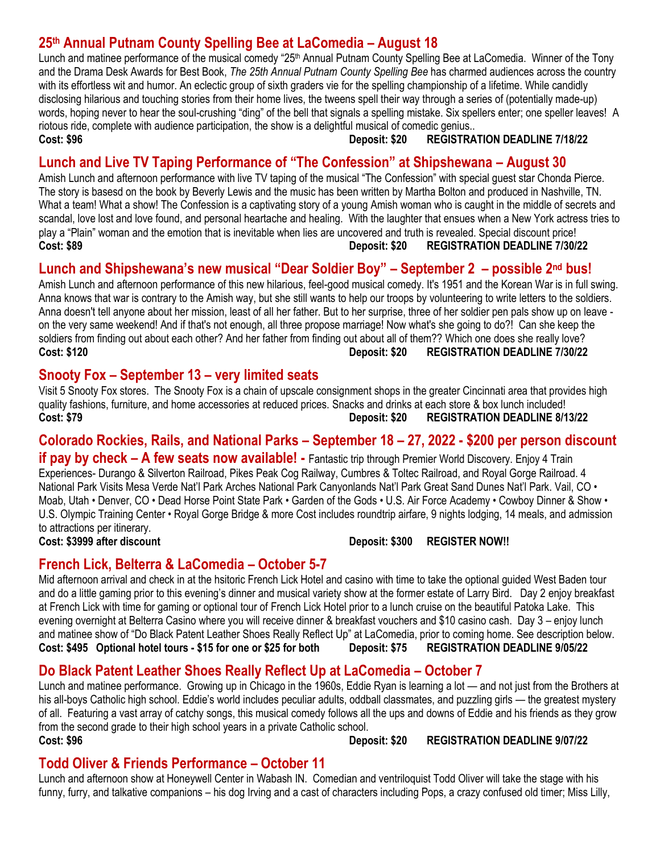# **25th Annual Putnam County Spelling Bee at LaComedia – August 18**

Lunch and matinee performance of the musical comedy "25<sup>th</sup> Annual Putnam County Spelling Bee at LaComedia. Winner of the Tony and the Drama Desk Awards for Best Book, *The 25th Annual Putnam County Spelling Bee* has charmed audiences across the country with its effortless wit and humor. An eclectic group of sixth graders vie for the spelling championship of a lifetime. While candidly disclosing hilarious and touching stories from their home lives, the tweens spell their way through a series of (potentially made-up) words, hoping never to hear the soul-crushing "ding" of the bell that signals a spelling mistake. Six spellers enter; one speller leaves! A riotous ride, complete with audience participation, the show is a delightful musical of comedic genius.. **Cost: \$96 Deposit: \$20 REGISTRATION DEADLINE 7/18/22**

## **Lunch and Live TV Taping Performance of "The Confession" at Shipshewana – August 30**

Amish Lunch and afternoon performance with live TV taping of the musical "The Confession" with special guest star Chonda Pierce. The story is basesd on the book by Beverly Lewis and the music has been written by Martha Bolton and produced in Nashville, TN. What a team! What a show! The Confession is a captivating story of a young Amish woman who is caught in the middle of secrets and scandal, love lost and love found, and personal heartache and healing. With the laughter that ensues when a New York actress tries to play a "Plain" woman and the emotion that is inevitable when lies are uncovered and truth is revealed. Special discount price! **Cost: \$89 Deposit: \$20 REGISTRATION DEADLINE 7/30/22**

#### **Lunch and Shipshewana's new musical "Dear Soldier Boy" – September 2 – possible 2nd bus!**

Amish Lunch and afternoon performance of this new hilarious, feel-good musical comedy. It's 1951 and the Korean War is in full swing. Anna knows that war is contrary to the Amish way, but she still wants to help our troops by volunteering to write letters to the soldiers. Anna doesn't tell anyone about her mission, least of all her father. But to her surprise, three of her soldier pen pals show up on leave on the very same weekend! And if that's not enough, all three propose marriage! Now what's she going to do?! Can she keep the soldiers from finding out about each other? And her father from finding out about all of them?? Which one does she really love? **Cost: \$120 Deposit: \$20 REGISTRATION DEADLINE 7/30/22**

#### **Snooty Fox – September 13 – very limited seats**

Visit 5 Snooty Fox stores. The Snooty Fox is a chain of upscale consignment shops in the greater Cincinnati area that provides high quality fashions, furniture, and home accessories at reduced prices. Snacks and drinks at each store & box lunch included! **Cost: \$79 Deposit: \$20 REGISTRATION DEADLINE 8/13/22**

# **Colorado Rockies, Rails, and National Parks – September 18 – 27, 2022 - \$200 per person discount**

**if pay by check – A few seats now available! -** Fantastic trip through Premier World Discovery. Enjoy 4 Train Experiences- Durango & Silverton Railroad, Pikes Peak Cog Railway, Cumbres & Toltec Railroad, and Royal Gorge Railroad. 4 National Park Visits Mesa Verde Nat'l Park Arches National Park Canyonlands Nat'l Park Great Sand Dunes Nat'l Park. Vail, CO • Moab, Utah • Denver, CO • Dead Horse Point State Park • Garden of the Gods • U.S. Air Force Academy • Cowboy Dinner & Show • U.S. Olympic Training Center • Royal Gorge Bridge & more Cost includes roundtrip airfare, 9 nights lodging, 14 meals, and admission to attractions per itinerary.

**Cost: \$3999 after discount Deposit: \$300 REGISTER NOW!!**

#### **French Lick, Belterra & LaComedia – October 5-7**

Mid afternoon arrival and check in at the hsitoric French Lick Hotel and casino with time to take the optional guided West Baden tour and do a little gaming prior to this evening's dinner and musical variety show at the former estate of Larry Bird. Day 2 enjoy breakfast at French Lick with time for gaming or optional tour of French Lick Hotel prior to a lunch cruise on the beautiful Patoka Lake. This evening overnight at Belterra Casino where you will receive dinner & breakfast vouchers and \$10 casino cash. Day 3 – enjoy lunch and matinee show of "Do Black Patent Leather Shoes Really Reflect Up" at LaComedia, prior to coming home. See description below. **Cost: \$495 Optional hotel tours - \$15 for one or \$25 for both Deposit: \$75 REGISTRATION DEADLINE 9/05/22**

# **Do Black Patent Leather Shoes Really Reflect Up at LaComedia – October 7**

Lunch and matinee performance. Growing up in Chicago in the 1960s, Eddie Ryan is learning a lot — and not just from the Brothers at his all-bovs Catholic high school. Eddie's world includes peculiar adults, oddball classmates, and puzzling girls — the greatest mystery of all. Featuring a vast array of catchy songs, this musical comedy follows all the ups and downs of Eddie and his friends as they grow from the second grade to their high school years in a private Catholic school. **Cost: \$96 Deposit: \$20 REGISTRATION DEADLINE 9/07/22**

#### **Todd Oliver & Friends Performance – October 11**

Lunch and afternoon show at Honeywell Center in Wabash IN. Comedian and ventriloquist Todd Oliver will take the stage with his funny, furry, and talkative companions – his dog Irving and a cast of characters including Pops, a crazy confused old timer; Miss Lilly,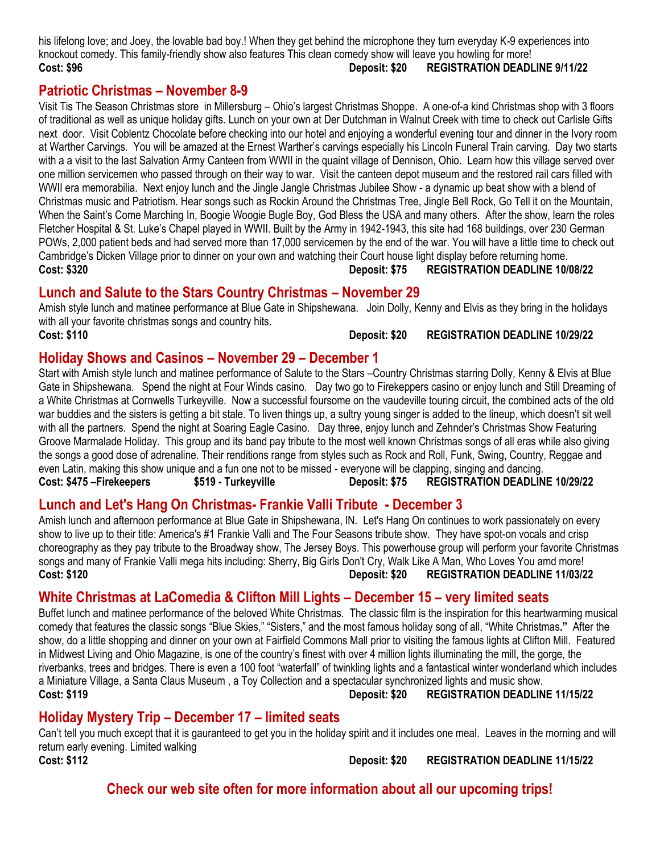his lifelong love; and Joey, the lovable bad boy.! When they get behind the microphone they turn everyday K-9 experiences into knockout comedy. This family-friendly show also features This clean comedy show will leave you howling for more! **Cost: \$96 Deposit: \$20 REGISTRATION DEADLINE 9/11/22**

#### **Patriotic Christmas – November 8-9**

Visit Tis The Season Christmas store in Millersburg – Ohio's largest Christmas Shoppe. A one-of-a kind Christmas shop with 3 floors of traditional as well as unique holiday gifts. Lunch on your own at Der Dutchman in Walnut Creek with time to check out Carlisle Gifts next door. Visit Coblentz Chocolate before checking into our hotel and enjoying a wonderful evening tour and dinner in the Ivory room at Warther Carvings. You will be amazed at the Ernest Warther's carvings especially his Lincoln Funeral Train carving. Day two starts with a a visit to the last Salvation Army Canteen from WWII in the quaint village of Dennison, Ohio. Learn how this village served over one million servicemen who passed through on their way to war. Visit the canteen depot museum and the restored rail cars filled with WWII era memorabilia. Next enjoy lunch and the Jingle Jangle Christmas Jubilee Show - a dynamic up beat show with a blend of Christmas music and Patriotism. Hear songs such as Rockin Around the Christmas Tree, Jingle Bell Rock, Go Tell it on the Mountain, When the Saint's Come Marching In, Boogie Woogie Bugle Boy, God Bless the USA and many others. After the show, learn the roles Fletcher Hospital & St. Luke's Chapel played in WWII. Built by the Army in 1942-1943, this site had 168 buildings, over 230 German POWs, 2,000 patient beds and had served more than 17,000 servicemen by the end of the war. You will have a little time to check out Cambridge's Dicken Village prior to dinner on your own and watching their Court house light display before returning home. **Cost: \$320 Deposit: \$75 REGISTRATION DEADLINE 10/08/22**

#### **Lunch and Salute to the Stars Country Christmas – November 29**

Amish style lunch and matinee performance at Blue Gate in Shipshewana. Join Dolly, Kenny and Elvis as they bring in the holidays with all your favorite christmas songs and country hits.

**Cost: \$110 Deposit: \$20 REGISTRATION DEADLINE 10/29/22**

#### **Holiday Shows and Casinos – November 29 – December 1**

Start with Amish style lunch and matinee performance of Salute to the Stars –Country Christmas starring Dolly, Kenny & Elvis at Blue Gate in Shipshewana. Spend the night at Four Winds casino. Day two go to Firekeppers casino or enjoy lunch and Still Dreaming of a White Christmas at Cornwells Turkeyville. Now a successful foursome on the vaudeville touring circuit, the combined acts of the old war buddies and the sisters is getting a bit stale. To liven things up, a sultry young singer is added to the lineup, which doesn't sit well with all the partners. Spend the night at Soaring Eagle Casino. Day three, enjoy lunch and Zehnder's Christmas Show Featuring Groove Marmalade Holiday. This group and its band pay tribute to the most well known Christmas songs of all eras while also giving the songs a good dose of adrenaline. Their renditions range from styles such as Rock and Roll, Funk, Swing, Country, Reggae and even Latin, making this show unique and a fun one not to be missed - everyone will be clapping, singing and dancing. **Cost: \$475 –Firekeepers \$519 - Turkeyville Deposit: \$75 REGISTRATION DEADLINE 10/29/22**

#### **Lunch and Let's Hang On Christmas- Frankie Valli Tribute - December 3**

Amish lunch and afternoon performance at Blue Gate in Shipshewana, IN. Let's Hang On continues to work passionately on every show to live up to their title: America's #1 Frankie Valli and The Four Seasons tribute show. They have spot-on vocals and crisp choreography as they pay tribute to the Broadway show, The Jersey Boys. This powerhouse group will perform your favorite Christmas songs and many of Frankie Valli mega hits including: Sherry, Big Girls Don't Cry, Walk Like A Man, Who Loves You amd more! **Cost: \$120 Deposit: \$20 REGISTRATION DEADLINE 11/03/22**

#### **White Christmas at LaComedia & Clifton Mill Lights – December 15 – very limited seats**

Buffet lunch and matinee performance of the beloved White Christmas. The classic film is the inspiration for this heartwarming musical comedy that features the classic songs "Blue Skies," "Sisters," and the most famous holiday song of all, "White Christmas**."** After the show, do a little shopping and dinner on your own at Fairfield Commons Mall prior to visiting the famous lights at Clifton Mill. Featured in Midwest Living and Ohio Magazine, is one of the country's finest with over 4 million lights illuminating the mill, the gorge, the riverbanks, trees and bridges. There is even a 100 foot "waterfall" of twinkling lights and a fantastical winter wonderland which includes a Miniature Village, a Santa Claus Museum , a Toy Collection and a spectacular synchronized lights and music show. **Cost: \$119 Deposit: \$20 REGISTRATION DEADLINE 11/15/22**

#### **Holiday Mystery Trip – December 17 – limited seats**

Can't tell you much except that it is gauranteed to get you in the holiday spirit and it includes one meal. Leaves in the morning and will return early evening. Limited walking **Cost: \$112 Deposit: \$20 REGISTRATION DEADLINE 11/15/22**

**Check our web site often for more information about all our upcoming trips!**